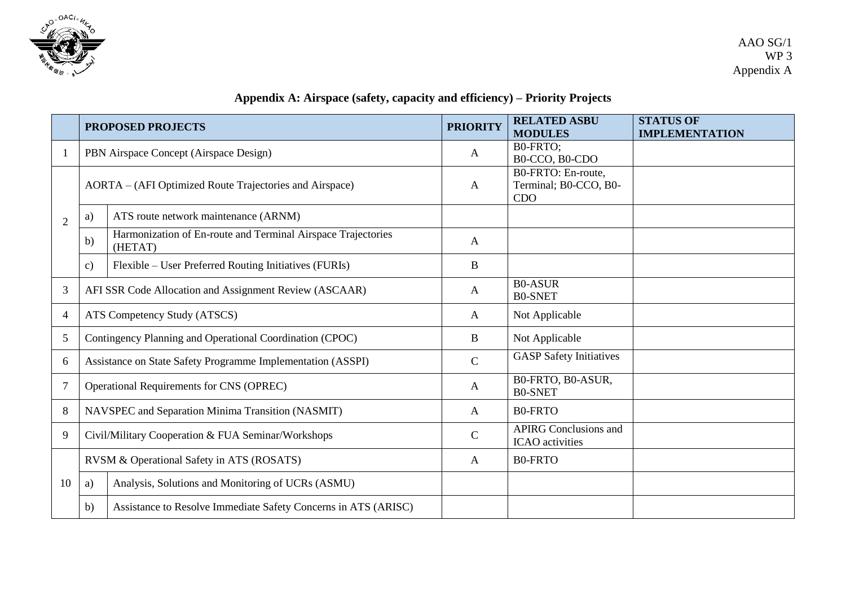

## **Appendix A: Airspace (safety, capacity and efficiency) – Priority Projects**

|                | <b>PROPOSED PROJECTS</b>                                    |                                                                         | <b>PRIORITY</b> | <b>RELATED ASBU</b><br><b>MODULES</b>                  | <b>STATUS OF</b><br><b>IMPLEMENTATION</b> |
|----------------|-------------------------------------------------------------|-------------------------------------------------------------------------|-----------------|--------------------------------------------------------|-------------------------------------------|
|                | PBN Airspace Concept (Airspace Design)                      |                                                                         | A               | B0-FRTO:<br>B0-CCO, B0-CDO                             |                                           |
| $\overline{2}$ | AORTA – (AFI Optimized Route Trajectories and Airspace)     |                                                                         | A               | B0-FRTO: En-route,<br>Terminal; B0-CCO, B0-<br>CDO     |                                           |
|                | a)                                                          | ATS route network maintenance (ARNM)                                    |                 |                                                        |                                           |
|                | b)                                                          | Harmonization of En-route and Terminal Airspace Trajectories<br>(HETAT) | A               |                                                        |                                           |
|                | $\mathbf{c})$                                               | Flexible – User Preferred Routing Initiatives (FURIs)                   | $\mathbf B$     |                                                        |                                           |
| 3              | AFI SSR Code Allocation and Assignment Review (ASCAAR)      |                                                                         | A               | <b>B0-ASUR</b><br><b>B0-SNET</b>                       |                                           |
| $\overline{4}$ | ATS Competency Study (ATSCS)                                |                                                                         | A               | Not Applicable                                         |                                           |
| 5              | Contingency Planning and Operational Coordination (CPOC)    |                                                                         | B               | Not Applicable                                         |                                           |
| 6              | Assistance on State Safety Programme Implementation (ASSPI) |                                                                         | $\mathbf C$     | <b>GASP</b> Safety Initiatives                         |                                           |
| $\overline{7}$ | Operational Requirements for CNS (OPREC)                    |                                                                         | $\mathbf{A}$    | B0-FRTO, B0-ASUR,<br><b>B0-SNET</b>                    |                                           |
| 8              | NAVSPEC and Separation Minima Transition (NASMIT)           |                                                                         | A               | <b>B0-FRTO</b>                                         |                                           |
| 9              | Civil/Military Cooperation & FUA Seminar/Workshops          |                                                                         | $\mathbf C$     | <b>APIRG Conclusions and</b><br><b>ICAO</b> activities |                                           |
|                | RVSM & Operational Safety in ATS (ROSATS)                   |                                                                         | A               | <b>B0-FRTO</b>                                         |                                           |
| 10             | a)                                                          | Analysis, Solutions and Monitoring of UCRs (ASMU)                       |                 |                                                        |                                           |
|                | b)                                                          | Assistance to Resolve Immediate Safety Concerns in ATS (ARISC)          |                 |                                                        |                                           |